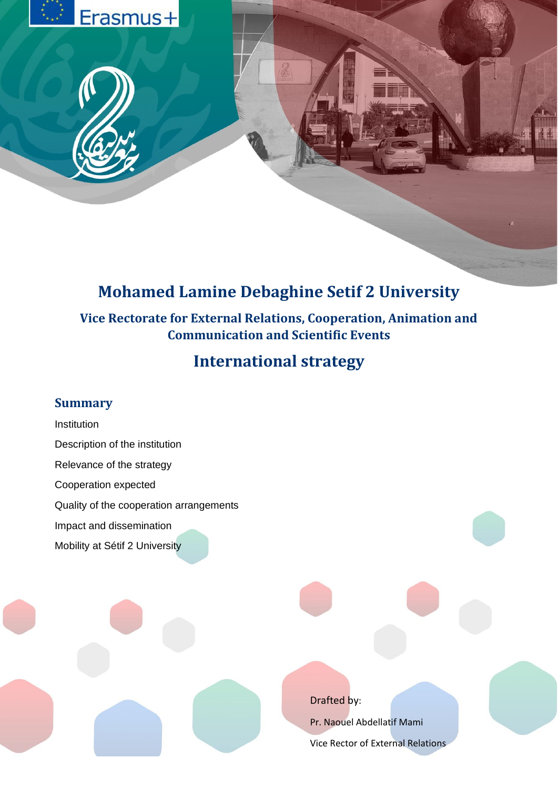

# **Mohamed Lamine Debaghine Setif 2 University**

# **Vice Rectorate for External Relations, Cooperation, Animation and Communication and Scientific Events**

# **International strategy**

## **Summary**

Institution Description of the institution Relevance of the strategy Cooperation expected Quality of the cooperation arrangements Impact and dissemination Mobility at Sétif 2 University

Drafted by:

Pr. Naouel Abdellatif Mami Vice Rector of External Relations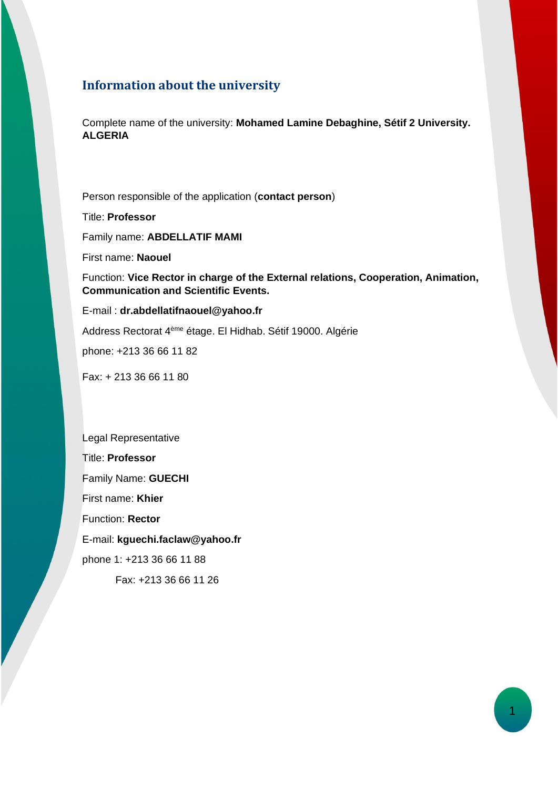## **Information about the university**

Complete name of the university: **Mohamed Lamine Debaghine, Sétif 2 University. ALGERIA**

Person responsible of the application (**contact person**)

Title: **Professor** Family name: **ABDELLATIF MAMI**

First name: **Naouel**

Function: **Vice Rector in charge of the External relations, Cooperation, Animation, Communication and Scientific Events.** 

E-mail : **dr.abdellatifnaouel@yahoo.fr**

Address Rectorat 4ème étage. El Hidhab. Sétif 19000. Algérie

phone: +213 36 66 11 82

Fax: + 213 36 66 11 80

Legal Representative Title: **Professor** Family Name: **GUECHI** First name: **Khier** Function: **Rector** E-mail: **kguechi.faclaw@yahoo.fr** phone 1: +213 36 66 11 88 Fax: +213 36 66 11 26

1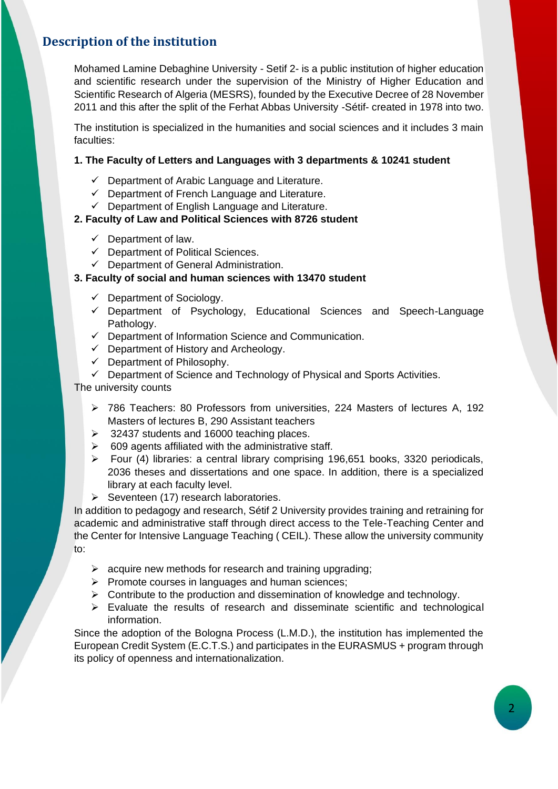## **Description of the institution**

Mohamed Lamine Debaghine University - Setif 2- is a public institution of higher education and scientific research under the supervision of the Ministry of Higher Education and Scientific Research of Algeria (MESRS), founded by the Executive Decree of 28 November 2011 and this after the split of the Ferhat Abbas University -Sétif- created in 1978 into two.

The institution is specialized in the humanities and social sciences and it includes 3 main faculties:

#### **1. The Faculty of Letters and Languages with 3 departments & 10241 student**

- ✓ Department of Arabic Language and Literature.
- ✓ Department of French Language and Literature.
- $\checkmark$  Department of English Language and Literature.

#### **2. Faculty of Law and Political Sciences with 8726 student**

- $\checkmark$  Department of law.
- ✓ Department of Political Sciences.
- ✓ Department of General Administration.

#### **3. Faculty of social and human sciences with 13470 student**

- $\checkmark$  Department of Sociology.
- ✓ Department of Psychology, Educational Sciences and Speech-Language Pathology.
- ✓ Department of Information Science and Communication.
- $\checkmark$  Department of History and Archeology.
- ✓ Department of Philosophy.
- ✓ Department of Science and Technology of Physical and Sports Activities.

The university counts

- ➢ 786 Teachers: 80 Professors from universities, 224 Masters of lectures A, 192 Masters of lectures B, 290 Assistant teachers
- ➢ 32437 students and 16000 teaching places.
- $\geq$  609 agents affiliated with the administrative staff.
- ➢ Four (4) libraries: a central library comprising 196,651 books, 3320 periodicals, 2036 theses and dissertations and one space. In addition, there is a specialized library at each faculty level.
- ➢ Seventeen (17) research laboratories.

In addition to pedagogy and research, Sétif 2 University provides training and retraining for academic and administrative staff through direct access to the Tele-Teaching Center and the Center for Intensive Language Teaching ( CEIL). These allow the university community to:

- $\triangleright$  acquire new methods for research and training upgrading;
- ➢ Promote courses in languages and human sciences;
- ➢ Contribute to the production and dissemination of knowledge and technology.
- $\triangleright$  Evaluate the results of research and disseminate scientific and technological information.

Since the adoption of the Bologna Process (L.M.D.), the institution has implemented the European Credit System (E.C.T.S.) and participates in the EURASMUS + program through its policy of openness and internationalization.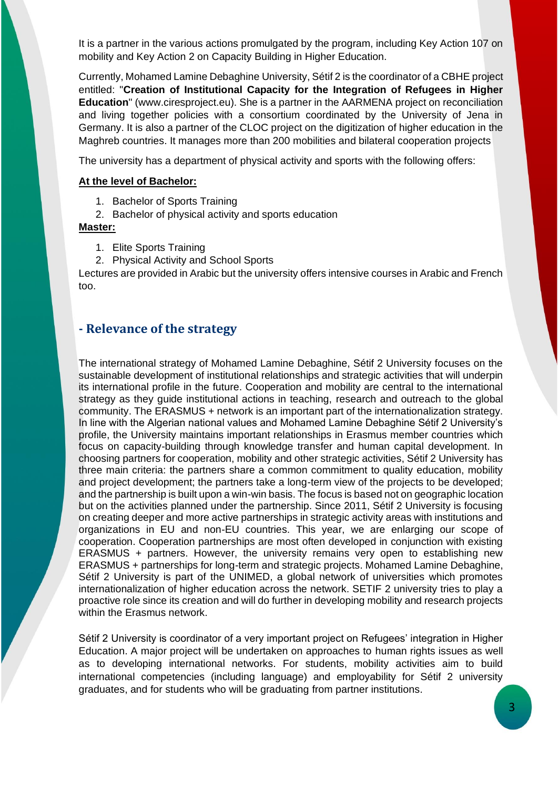It is a partner in the various actions promulgated by the program, including Key Action 107 on mobility and Key Action 2 on Capacity Building in Higher Education.

Currently, Mohamed Lamine Debaghine University, Sétif 2 is the coordinator of a CBHE project entitled: "**Creation of Institutional Capacity for the Integration of Refugees in Higher Education**" (www.ciresproject.eu). She is a partner in the AARMENA project on reconciliation and living together policies with a consortium coordinated by the University of Jena in Germany. It is also a partner of the CLOC project on the digitization of higher education in the Maghreb countries. It manages more than 200 mobilities and bilateral cooperation projects

The university has a department of physical activity and sports with the following offers:

#### **At the level of Bachelor:**

- 1. Bachelor of Sports Training
- 2. Bachelor of physical activity and sports education

#### **Master:**

- 1. Elite Sports Training
- 2. Physical Activity and School Sports

Lectures are provided in Arabic but the university offers intensive courses in Arabic and French too.

#### **- Relevance of the strategy**

The international strategy of Mohamed Lamine Debaghine, Sétif 2 University focuses on the sustainable development of institutional relationships and strategic activities that will underpin its international profile in the future. Cooperation and mobility are central to the international strategy as they guide institutional actions in teaching, research and outreach to the global community. The ERASMUS + network is an important part of the internationalization strategy. In line with the Algerian national values and Mohamed Lamine Debaghine Sétif 2 University's profile, the University maintains important relationships in Erasmus member countries which focus on capacity-building through knowledge transfer and human capital development. In choosing partners for cooperation, mobility and other strategic activities, Sétif 2 University has three main criteria: the partners share a common commitment to quality education, mobility and project development; the partners take a long-term view of the projects to be developed; and the partnership is built upon a win-win basis. The focus is based not on geographic location but on the activities planned under the partnership. Since 2011, Sétif 2 University is focusing on creating deeper and more active partnerships in strategic activity areas with institutions and organizations in EU and non-EU countries. This year, we are enlarging our scope of cooperation. Cooperation partnerships are most often developed in conjunction with existing ERASMUS + partners. However, the university remains very open to establishing new ERASMUS + partnerships for long-term and strategic projects. Mohamed Lamine Debaghine, Sétif 2 University is part of the UNIMED, a global network of universities which promotes internationalization of higher education across the network. SETIF 2 university tries to play a proactive role since its creation and will do further in developing mobility and research projects within the Erasmus network.

Sétif 2 University is coordinator of a very important project on Refugees' integration in Higher Education. A major project will be undertaken on approaches to human rights issues as well as to developing international networks. For students, mobility activities aim to build international competencies (including language) and employability for Sétif 2 university graduates, and for students who will be graduating from partner institutions.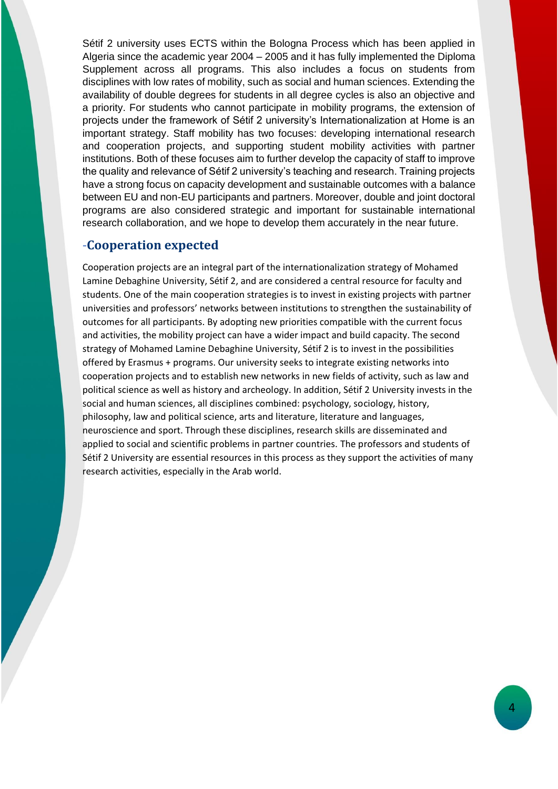Sétif 2 university uses ECTS within the Bologna Process which has been applied in Algeria since the academic year 2004 – 2005 and it has fully implemented the Diploma Supplement across all programs. This also includes a focus on students from disciplines with low rates of mobility, such as social and human sciences. Extending the availability of double degrees for students in all degree cycles is also an objective and a priority. For students who cannot participate in mobility programs, the extension of projects under the framework of Sétif 2 university's Internationalization at Home is an important strategy. Staff mobility has two focuses: developing international research and cooperation projects, and supporting student mobility activities with partner institutions. Both of these focuses aim to further develop the capacity of staff to improve the quality and relevance of Sétif 2 university's teaching and research. Training projects have a strong focus on capacity development and sustainable outcomes with a balance between EU and non-EU participants and partners. Moreover, double and joint doctoral programs are also considered strategic and important for sustainable international research collaboration, and we hope to develop them accurately in the near future.

## -**Cooperation expected**

Cooperation projects are an integral part of the internationalization strategy of Mohamed Lamine Debaghine University, Sétif 2, and are considered a central resource for faculty and students. One of the main cooperation strategies is to invest in existing projects with partner universities and professors' networks between institutions to strengthen the sustainability of outcomes for all participants. By adopting new priorities compatible with the current focus and activities, the mobility project can have a wider impact and build capacity. The second strategy of Mohamed Lamine Debaghine University, Sétif 2 is to invest in the possibilities offered by Erasmus + programs. Our university seeks to integrate existing networks into cooperation projects and to establish new networks in new fields of activity, such as law and political science as well as history and archeology. In addition, Sétif 2 University invests in the social and human sciences, all disciplines combined: psychology, sociology, history, philosophy, law and political science, arts and literature, literature and languages, neuroscience and sport. Through these disciplines, research skills are disseminated and applied to social and scientific problems in partner countries. The professors and students of Sétif 2 University are essential resources in this process as they support the activities of many research activities, especially in the Arab world.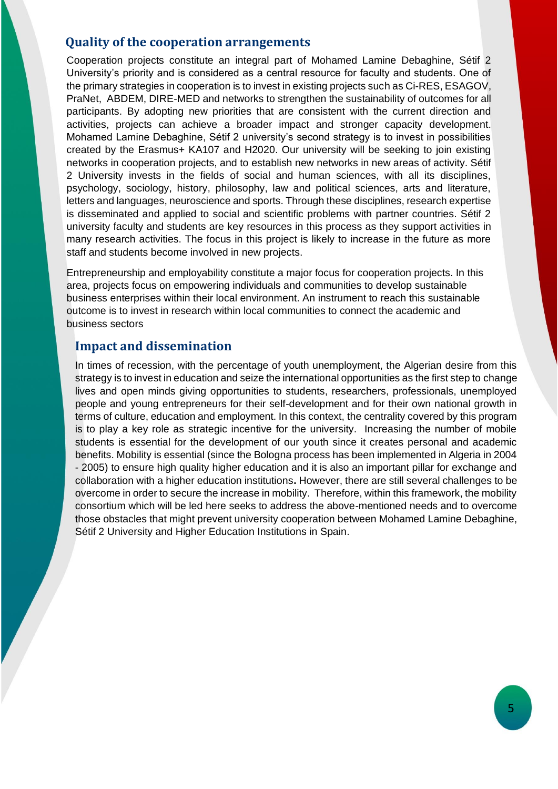#### **Quality of the cooperation arrangements**

Cooperation projects constitute an integral part of Mohamed Lamine Debaghine, Sétif 2 University's priority and is considered as a central resource for faculty and students. One of the primary strategies in cooperation is to invest in existing projects such as Ci-RES, ESAGOV, PraNet, ABDEM, DIRE-MED and networks to strengthen the sustainability of outcomes for all participants. By adopting new priorities that are consistent with the current direction and activities, projects can achieve a broader impact and stronger capacity development. Mohamed Lamine Debaghine, Sétif 2 university's second strategy is to invest in possibilities created by the Erasmus+ KA107 and H2020. Our university will be seeking to join existing networks in cooperation projects, and to establish new networks in new areas of activity. Sétif 2 University invests in the fields of social and human sciences, with all its disciplines, psychology, sociology, history, philosophy, law and political sciences, arts and literature, letters and languages, neuroscience and sports. Through these disciplines, research expertise is disseminated and applied to social and scientific problems with partner countries. Sétif 2 university faculty and students are key resources in this process as they support activities in many research activities. The focus in this project is likely to increase in the future as more staff and students become involved in new projects.

Entrepreneurship and employability constitute a major focus for cooperation projects. In this area, projects focus on empowering individuals and communities to develop sustainable business enterprises within their local environment. An instrument to reach this sustainable outcome is to invest in research within local communities to connect the academic and business sectors

### **Impact and dissemination**

In times of recession, with the percentage of youth unemployment, the Algerian desire from this strategy is to invest in education and seize the international opportunities as the first step to change lives and open minds giving opportunities to students, researchers, professionals, unemployed people and young entrepreneurs for their self-development and for their own national growth in terms of culture, education and employment. In this context, the centrality covered by this program is to play a key role as strategic incentive for the university. Increasing the number of mobile students is essential for the development of our youth since it creates personal and academic benefits. Mobility is essential (since the Bologna process has been implemented in Algeria in 2004 - 2005) to ensure high quality higher education and it is also an important pillar for exchange and collaboration with a higher education institutions**.** However, there are still several challenges to be overcome in order to secure the increase in mobility. Therefore, within this framework, the mobility consortium which will be led here seeks to address the above-mentioned needs and to overcome those obstacles that might prevent university cooperation between Mohamed Lamine Debaghine, Sétif 2 University and Higher Education Institutions in Spain.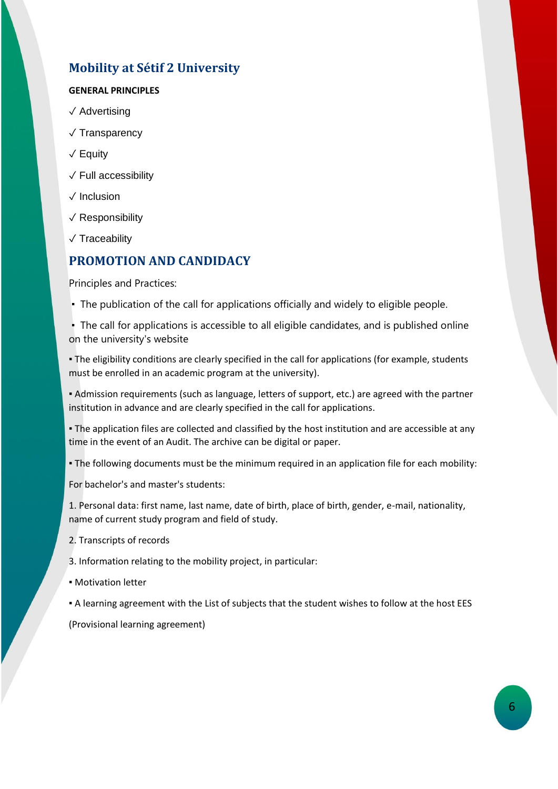## **Mobility at Sétif 2 University**

#### **GENERAL PRINCIPLES**

- ✓ Advertising
- ✓ Transparency
- ✓ Equity
- ✓ Full accessibility
- ✓ Inclusion
- ✓ Responsibility
- ✓ Traceability

## **PROMOTION AND CANDIDACY**

Principles and Practices:

**• The publication of the call for applications officially and widely to eligible people.** 

▪ The call for applications is accessible to all eligible candidates, and is published online on the university's website

▪ The eligibility conditions are clearly specified in the call for applications (for example, students must be enrolled in an academic program at the university).

▪ Admission requirements (such as language, letters of support, etc.) are agreed with the partner institution in advance and are clearly specified in the call for applications.

▪ The application files are collected and classified by the host institution and are accessible at any time in the event of an Audit. The archive can be digital or paper.

▪ The following documents must be the minimum required in an application file for each mobility:

For bachelor's and master's students:

1. Personal data: first name, last name, date of birth, place of birth, gender, e-mail, nationality, name of current study program and field of study.

- 2. Transcripts of records
- 3. Information relating to the mobility project, in particular:
- Motivation letter
- A learning agreement with the List of subjects that the student wishes to follow at the host EES

(Provisional learning agreement)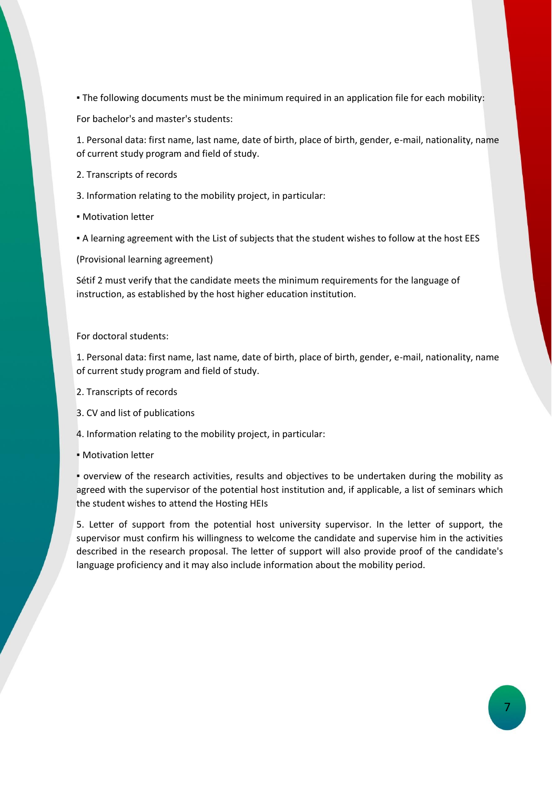▪ The following documents must be the minimum required in an application file for each mobility:

For bachelor's and master's students:

1. Personal data: first name, last name, date of birth, place of birth, gender, e-mail, nationality, name of current study program and field of study.

2. Transcripts of records

3. Information relating to the mobility project, in particular:

▪ Motivation letter

▪ A learning agreement with the List of subjects that the student wishes to follow at the host EES

(Provisional learning agreement)

Sétif 2 must verify that the candidate meets the minimum requirements for the language of instruction, as established by the host higher education institution.

For doctoral students:

1. Personal data: first name, last name, date of birth, place of birth, gender, e-mail, nationality, name of current study program and field of study.

- 2. Transcripts of records
- 3. CV and list of publications

4. Information relating to the mobility project, in particular:

**• Motivation letter** 

▪ overview of the research activities, results and objectives to be undertaken during the mobility as agreed with the supervisor of the potential host institution and, if applicable, a list of seminars which the student wishes to attend the Hosting HEIs

5. Letter of support from the potential host university supervisor. In the letter of support, the supervisor must confirm his willingness to welcome the candidate and supervise him in the activities described in the research proposal. The letter of support will also provide proof of the candidate's language proficiency and it may also include information about the mobility period.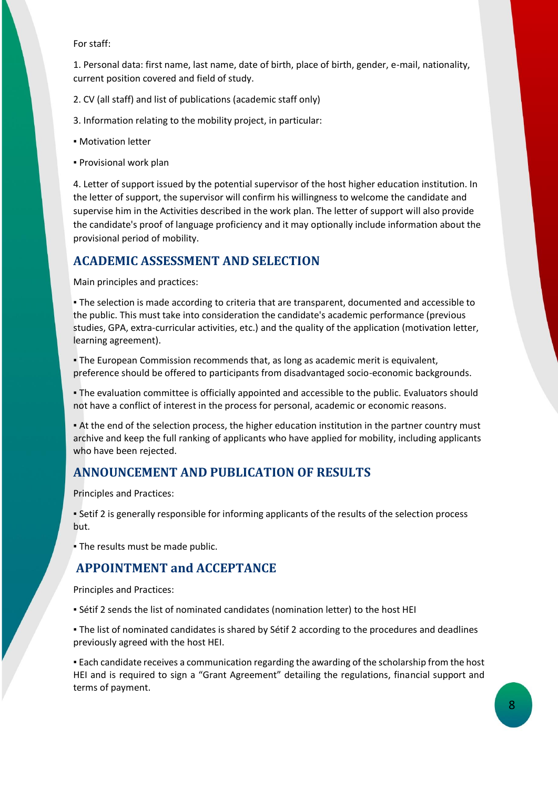For staff:

1. Personal data: first name, last name, date of birth, place of birth, gender, e-mail, nationality, current position covered and field of study.

- 2. CV (all staff) and list of publications (academic staff only)
- 3. Information relating to the mobility project, in particular:
- **Motivation letter**
- Provisional work plan

4. Letter of support issued by the potential supervisor of the host higher education institution. In the letter of support, the supervisor will confirm his willingness to welcome the candidate and supervise him in the Activities described in the work plan. The letter of support will also provide the candidate's proof of language proficiency and it may optionally include information about the provisional period of mobility.

#### **ACADEMIC ASSESSMENT AND SELECTION**

Main principles and practices:

▪ The selection is made according to criteria that are transparent, documented and accessible to the public. This must take into consideration the candidate's academic performance (previous studies, GPA, extra-curricular activities, etc.) and the quality of the application (motivation letter, learning agreement).

▪ The European Commission recommends that, as long as academic merit is equivalent, preference should be offered to participants from disadvantaged socio-economic backgrounds.

▪ The evaluation committee is officially appointed and accessible to the public. Evaluators should not have a conflict of interest in the process for personal, academic or economic reasons.

▪ At the end of the selection process, the higher education institution in the partner country must archive and keep the full ranking of applicants who have applied for mobility, including applicants who have been rejected.

## **ANNOUNCEMENT AND PUBLICATION OF RESULTS**

Principles and Practices:

▪ Setif 2 is generally responsible for informing applicants of the results of the selection process but.

▪ The results must be made public.

#### **APPOINTMENT and ACCEPTANCE**

Principles and Practices:

▪ Sétif 2 sends the list of nominated candidates (nomination letter) to the host HEI

. The list of nominated candidates is shared by Sétif 2 according to the procedures and deadlines previously agreed with the host HEI.

▪ Each candidate receives a communication regarding the awarding of the scholarship from the host HEI and is required to sign a "Grant Agreement" detailing the regulations, financial support and terms of payment.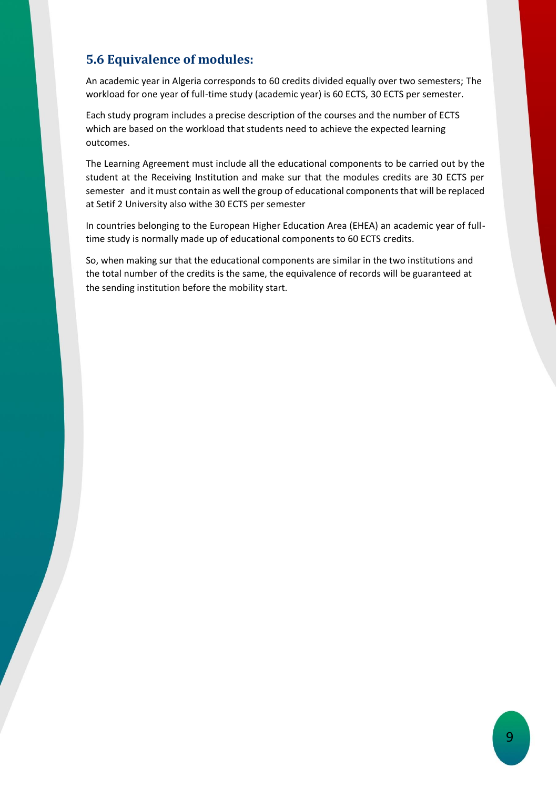## **5.6 Equivalence of modules:**

An academic year in Algeria corresponds to 60 credits divided equally over two semesters; The workload for one year of full-time study (academic year) is 60 ECTS, 30 ECTS per semester.

Each study program includes a precise description of the courses and the number of ECTS which are based on the workload that students need to achieve the expected learning outcomes.

The Learning Agreement must include all the educational components to be carried out by the student at the Receiving Institution and make sur that the modules credits are 30 ECTS per semester and it must contain as well the group of educational components that will be replaced at Setif 2 University also withe 30 ECTS per semester

In countries belonging to the European Higher Education Area (EHEA) an academic year of fulltime study is normally made up of educational components to 60 ECTS credits.

So, when making sur that the educational components are similar in the two institutions and the total number of the credits is the same, the equivalence of records will be guaranteed at the sending institution before the mobility start.